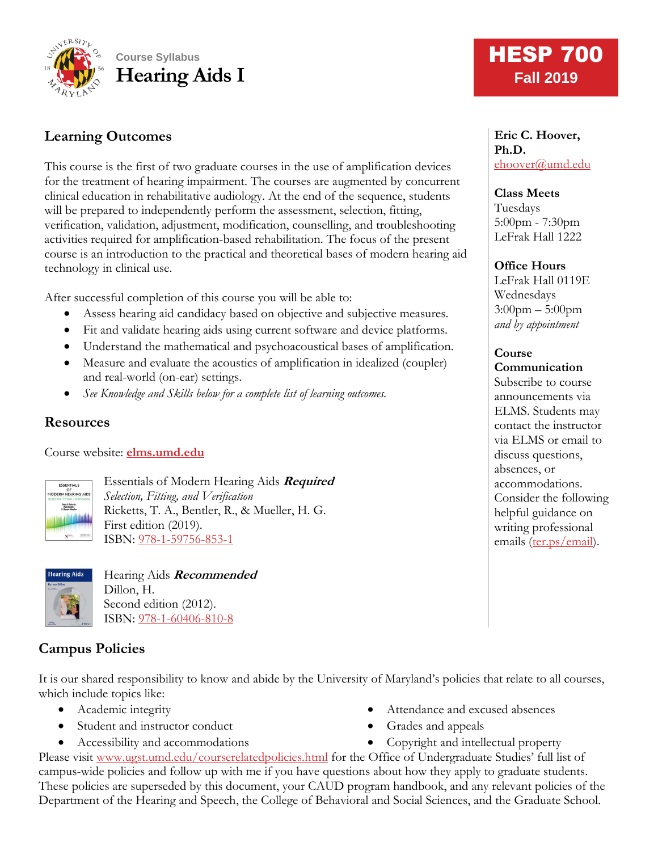

# **Learning Outcomes**

This course is the first of two graduate courses in the use of amplification devices for the treatment of hearing impairment. The courses are augmented by concurrent clinical education in rehabilitative audiology. At the end of the sequence, students will be prepared to independently perform the assessment, selection, fitting, verification, validation, adjustment, modification, counselling, and troubleshooting activities required for amplification-based rehabilitation. The focus of the present course is an introduction to the practical and theoretical bases of modern hearing aid technology in clinical use.

After successful completion of this course you will be able to:

- Assess hearing aid candidacy based on objective and subjective measures.
- Fit and validate hearing aids using current software and device platforms.
- Understand the mathematical and psychoacoustical bases of amplification.
- Measure and evaluate the acoustics of amplification in idealized (coupler) and real-world (on-ear) settings.
- *See Knowledge and Skills below for a complete list of learning outcomes.*

#### **Resources**

Course website: **[elms.umd.edu](http://www.elms.umd.edu/)**



Essentials of Modern Hearing Aids **Required** *Selection, Fitting, and Verification* Ricketts, T. A., Bentler, R., & Mueller, H. G. First edition (2019). ISBN: [978-1-59756-853-1](https://www.pluralpublishing.com/publication_emha.htm)



Hearing Aids **Recommended** Dillon, H. Second edition (2012). ISBN: [978-1-60406-810-8](https://www.thieme.com/books-main/audiology/product/1888-hearing-aids)

# **Campus Policies**

It is our shared responsibility to know and abide by the University of Maryland's policies that relate to all courses, which include topics like:

- Academic integrity
- Student and instructor conduct
- Accessibility and accommodations
- Attendance and excused absences
- Grades and appeals
- Copyright and intellectual property

Please visit [www.ugst.umd.edu/courserelatedpolicies.html](http://www.ugst.umd.edu/courserelatedpolicies.html) for the Office of Undergraduate Studies' full list of campus-wide policies and follow up with me if you have questions about how they apply to graduate students. These policies are superseded by this document, your CAUD program handbook, and any relevant policies of the Department of the Hearing and Speech, the College of Behavioral and Social Sciences, and the Graduate School.

# **HESP 700 Fall 2019**

**Eric C. Hoover, Ph.D.** [ehoover@umd.edu](mailto:ehoover@umd.edu)

**Class Meets** Tuesdays 5:00pm - 7:30pm LeFrak Hall 1222

#### **Office Hours**

LeFrak Hall 0119E Wednesdays 3:00pm – 5:00pm *and by appointment*

# **Course**

**Communication** Subscribe to course announcements via ELMS. Students may contact the instructor via ELMS or email to discuss questions, absences, or accommodations. Consider the following helpful guidance on writing professional emails [\(ter.ps/email\)](http://ter.ps/email).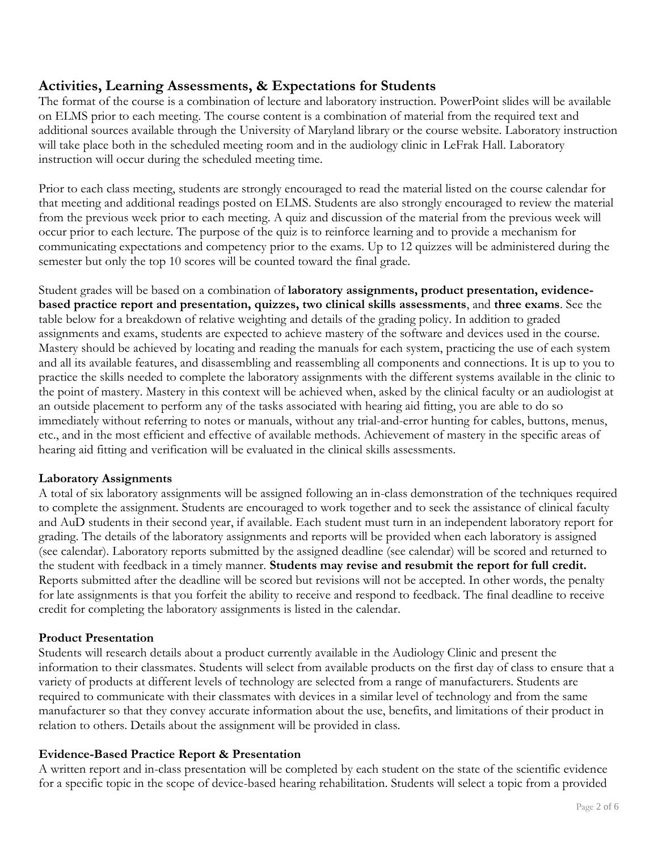### **Activities, Learning Assessments, & Expectations for Students**

The format of the course is a combination of lecture and laboratory instruction. PowerPoint slides will be available on ELMS prior to each meeting. The course content is a combination of material from the required text and additional sources available through the University of Maryland library or the course website. Laboratory instruction will take place both in the scheduled meeting room and in the audiology clinic in LeFrak Hall. Laboratory instruction will occur during the scheduled meeting time.

Prior to each class meeting, students are strongly encouraged to read the material listed on the course calendar for that meeting and additional readings posted on ELMS. Students are also strongly encouraged to review the material from the previous week prior to each meeting. A quiz and discussion of the material from the previous week will occur prior to each lecture. The purpose of the quiz is to reinforce learning and to provide a mechanism for communicating expectations and competency prior to the exams. Up to 12 quizzes will be administered during the semester but only the top 10 scores will be counted toward the final grade.

Student grades will be based on a combination of **laboratory assignments, product presentation, evidencebased practice report and presentation, quizzes, two clinical skills assessments**, and **three exams**. See the table below for a breakdown of relative weighting and details of the grading policy. In addition to graded assignments and exams, students are expected to achieve mastery of the software and devices used in the course. Mastery should be achieved by locating and reading the manuals for each system, practicing the use of each system and all its available features, and disassembling and reassembling all components and connections. It is up to you to practice the skills needed to complete the laboratory assignments with the different systems available in the clinic to the point of mastery. Mastery in this context will be achieved when, asked by the clinical faculty or an audiologist at an outside placement to perform any of the tasks associated with hearing aid fitting, you are able to do so immediately without referring to notes or manuals, without any trial-and-error hunting for cables, buttons, menus, etc., and in the most efficient and effective of available methods. Achievement of mastery in the specific areas of hearing aid fitting and verification will be evaluated in the clinical skills assessments.

#### **Laboratory Assignments**

A total of six laboratory assignments will be assigned following an in-class demonstration of the techniques required to complete the assignment. Students are encouraged to work together and to seek the assistance of clinical faculty and AuD students in their second year, if available. Each student must turn in an independent laboratory report for grading. The details of the laboratory assignments and reports will be provided when each laboratory is assigned (see calendar). Laboratory reports submitted by the assigned deadline (see calendar) will be scored and returned to the student with feedback in a timely manner. **Students may revise and resubmit the report for full credit.** Reports submitted after the deadline will be scored but revisions will not be accepted. In other words, the penalty for late assignments is that you forfeit the ability to receive and respond to feedback. The final deadline to receive credit for completing the laboratory assignments is listed in the calendar.

#### **Product Presentation**

Students will research details about a product currently available in the Audiology Clinic and present the information to their classmates. Students will select from available products on the first day of class to ensure that a variety of products at different levels of technology are selected from a range of manufacturers. Students are required to communicate with their classmates with devices in a similar level of technology and from the same manufacturer so that they convey accurate information about the use, benefits, and limitations of their product in relation to others. Details about the assignment will be provided in class.

#### **Evidence-Based Practice Report & Presentation**

A written report and in-class presentation will be completed by each student on the state of the scientific evidence for a specific topic in the scope of device-based hearing rehabilitation. Students will select a topic from a provided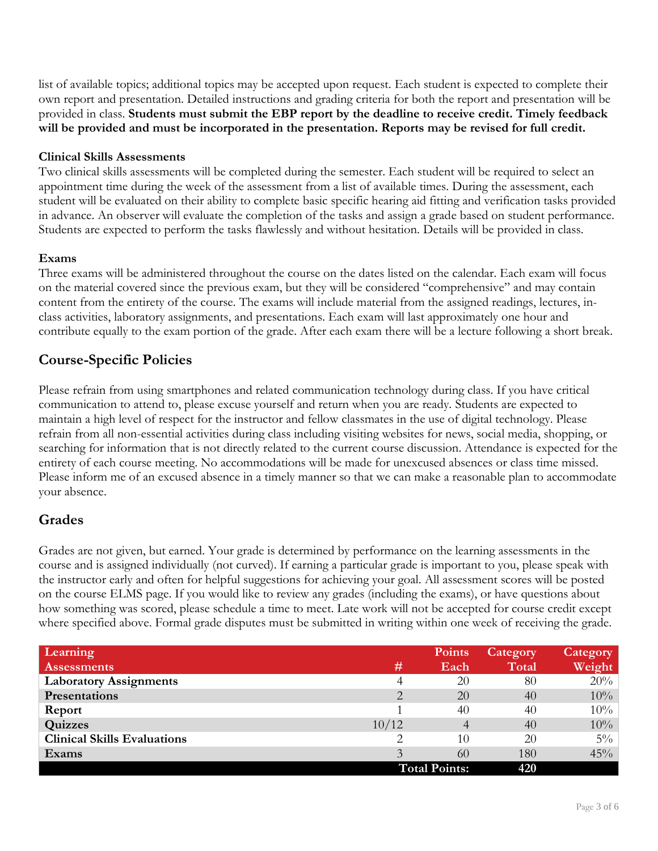list of available topics; additional topics may be accepted upon request. Each student is expected to complete their own report and presentation. Detailed instructions and grading criteria for both the report and presentation will be provided in class. **Students must submit the EBP report by the deadline to receive credit. Timely feedback will be provided and must be incorporated in the presentation. Reports may be revised for full credit.**

#### **Clinical Skills Assessments**

Two clinical skills assessments will be completed during the semester. Each student will be required to select an appointment time during the week of the assessment from a list of available times. During the assessment, each student will be evaluated on their ability to complete basic specific hearing aid fitting and verification tasks provided in advance. An observer will evaluate the completion of the tasks and assign a grade based on student performance. Students are expected to perform the tasks flawlessly and without hesitation. Details will be provided in class.

#### **Exams**

Three exams will be administered throughout the course on the dates listed on the calendar. Each exam will focus on the material covered since the previous exam, but they will be considered "comprehensive" and may contain content from the entirety of the course. The exams will include material from the assigned readings, lectures, inclass activities, laboratory assignments, and presentations. Each exam will last approximately one hour and contribute equally to the exam portion of the grade. After each exam there will be a lecture following a short break.

### **Course-Specific Policies**

Please refrain from using smartphones and related communication technology during class. If you have critical communication to attend to, please excuse yourself and return when you are ready. Students are expected to maintain a high level of respect for the instructor and fellow classmates in the use of digital technology. Please refrain from all non-essential activities during class including visiting websites for news, social media, shopping, or searching for information that is not directly related to the current course discussion. Attendance is expected for the entirety of each course meeting. No accommodations will be made for unexcused absences or class time missed. Please inform me of an excused absence in a timely manner so that we can make a reasonable plan to accommodate your absence.

### **Grades**

Grades are not given, but earned. Your grade is determined by performance on the learning assessments in the course and is assigned individually (not curved). If earning a particular grade is important to you, please speak with the instructor early and often for helpful suggestions for achieving your goal. All assessment scores will be posted on the course ELMS page. If you would like to review any grades (including the exams), or have questions about how something was scored, please schedule a time to meet. Late work will not be accepted for course credit except where specified above. Formal grade disputes must be submitted in writing within one week of receiving the grade.

| Learning                           |                      | <b>Points</b> | Category | <b>Category</b> |
|------------------------------------|----------------------|---------------|----------|-----------------|
| <b>Assessments</b>                 | #                    | Each          | Total    | Weight          |
| <b>Laboratory Assignments</b>      | 4                    | 20            | 80       | 20%             |
| Presentations                      | 2                    | 20            | 40       | 10%             |
| Report                             |                      | 40            | 40       | 10%             |
| Quizzes                            | 10/12                | 4             | 40       | 10%             |
| <b>Clinical Skills Evaluations</b> |                      | 10            | 20       | $5\%$           |
| Exams                              | 3                    | 60            | 180      | 45%             |
|                                    | <b>Total Points:</b> |               | 420      |                 |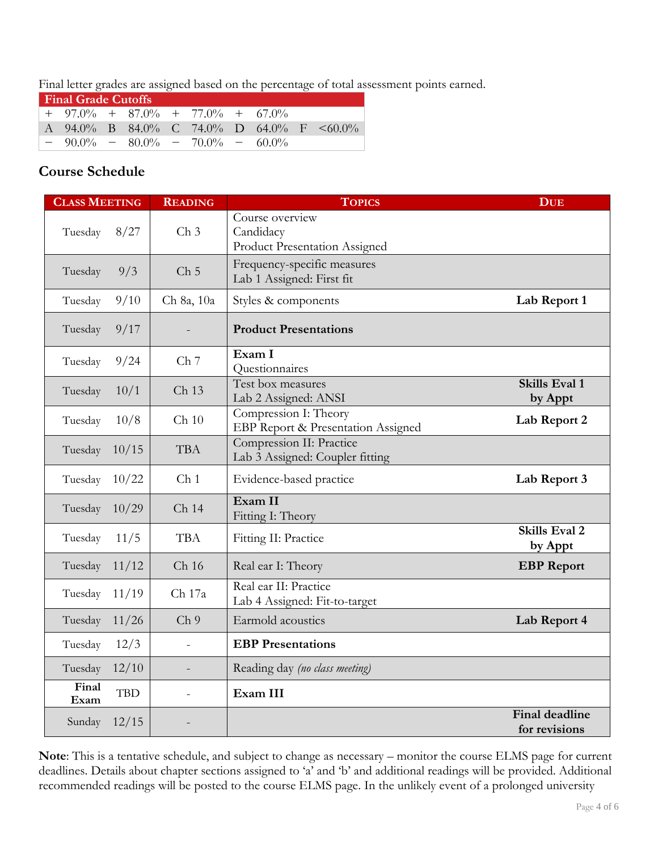Final letter grades are assigned based on the percentage of total assessment points earned.

| <b>Final Grade Cutoffs</b> |                                      |  |  |  |  |  |  |                                                 |
|----------------------------|--------------------------------------|--|--|--|--|--|--|-------------------------------------------------|
|                            | $+$ 97.0% + 87.0% + 77.0% + 67.0%    |  |  |  |  |  |  |                                                 |
|                            |                                      |  |  |  |  |  |  | A 94.0% B 84.0% C 74.0% D 64.0% F $\leq 60.0\%$ |
|                            | $-90.0\% - 80.0\% - 70.0\% - 60.0\%$ |  |  |  |  |  |  |                                                 |

## **Course Schedule**

| <b>CLASS MEETING</b> |            | <b>READING</b>   | <b>TOPICS</b>                                                        | <b>DUE</b>                             |
|----------------------|------------|------------------|----------------------------------------------------------------------|----------------------------------------|
| Tuesday              | 8/27       | Ch <sub>3</sub>  | Course overview<br>Candidacy<br><b>Product Presentation Assigned</b> |                                        |
| Tuesday              | 9/3        | Ch <sub>5</sub>  | Frequency-specific measures<br>Lab 1 Assigned: First fit             |                                        |
| Tuesday              | 9/10       | Ch 8a, 10a       | Styles & components                                                  | Lab Report 1                           |
| Tuesday              | 9/17       |                  | <b>Product Presentations</b>                                         |                                        |
| Tuesday              | 9/24       | Ch <sub>7</sub>  | Exam I<br>Questionnaires                                             |                                        |
| Tuesday              | 10/1       | Ch 13            | Test box measures<br>Lab 2 Assigned: ANSI                            | <b>Skills Eval 1</b><br>by Appt        |
| Tuesday              | 10/8       | Ch 10            | Compression I: Theory<br>EBP Report & Presentation Assigned          | Lab Report 2                           |
| Tuesday              | 10/15      | <b>TBA</b>       | Compression II: Practice<br>Lab 3 Assigned: Coupler fitting          |                                        |
| Tuesday              | 10/22      | Ch <sub>1</sub>  | Evidence-based practice                                              | Lab Report 3                           |
| Tuesday              | 10/29      | Ch 14            | Exam II<br>Fitting I: Theory                                         |                                        |
| Tuesday              | 11/5       | <b>TBA</b>       | Fitting II: Practice                                                 | <b>Skills Eval 2</b><br>by Appt        |
| Tuesday              | 11/12      | Ch <sub>16</sub> | Real ear I: Theory                                                   | <b>EBP</b> Report                      |
| Tuesday              | 11/19      | Ch 17a           | Real ear II: Practice<br>Lab 4 Assigned: Fit-to-target               |                                        |
| Tuesday              | 11/26      | Ch <sub>9</sub>  | Earmold acoustics                                                    | Lab Report 4                           |
| Tuesday              | 12/3       | $\overline{a}$   | <b>EBP</b> Presentations                                             |                                        |
| Tuesday              | 12/10      |                  | Reading day (no class meeting)                                       |                                        |
| Final<br>Exam        | <b>TBD</b> | $\overline{a}$   | Exam III                                                             |                                        |
| Sunday               | 12/15      |                  |                                                                      | <b>Final deadline</b><br>for revisions |

**Note**: This is a tentative schedule, and subject to change as necessary – monitor the course ELMS page for current deadlines. Details about chapter sections assigned to 'a' and 'b' and additional readings will be provided. Additional recommended readings will be posted to the course ELMS page. In the unlikely event of a prolonged university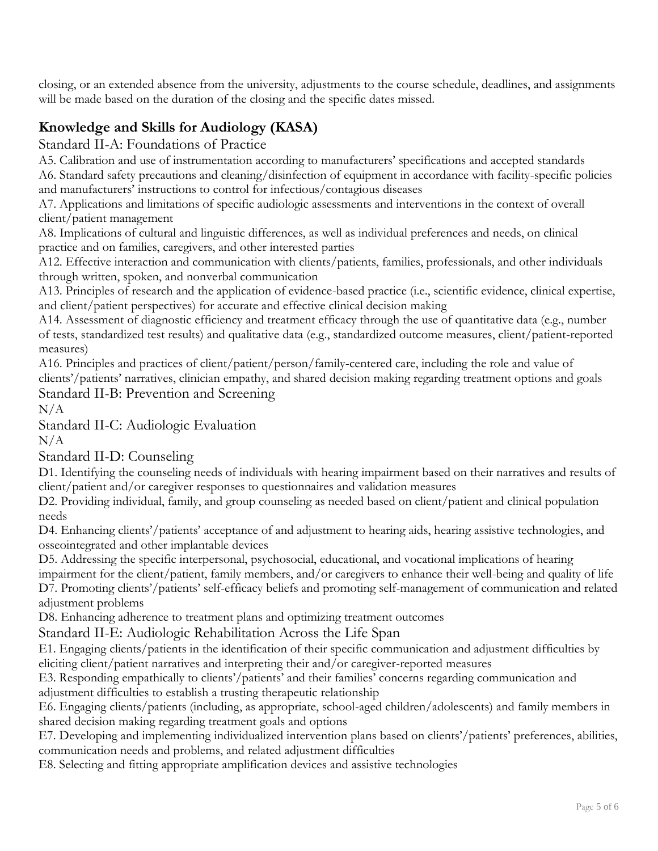closing, or an extended absence from the university, adjustments to the course schedule, deadlines, and assignments will be made based on the duration of the closing and the specific dates missed.

# **Knowledge and Skills for Audiology (KASA)**

Standard II-A: Foundations of Practice

A5. Calibration and use of instrumentation according to manufacturers' specifications and accepted standards A6. Standard safety precautions and cleaning/disinfection of equipment in accordance with facility-specific policies and manufacturers' instructions to control for infectious/contagious diseases

A7. Applications and limitations of specific audiologic assessments and interventions in the context of overall client/patient management

A8. Implications of cultural and linguistic differences, as well as individual preferences and needs, on clinical practice and on families, caregivers, and other interested parties

A12. Effective interaction and communication with clients/patients, families, professionals, and other individuals through written, spoken, and nonverbal communication

A13. Principles of research and the application of evidence-based practice (i.e., scientific evidence, clinical expertise, and client/patient perspectives) for accurate and effective clinical decision making

A14. Assessment of diagnostic efficiency and treatment efficacy through the use of quantitative data (e.g., number of tests, standardized test results) and qualitative data (e.g., standardized outcome measures, client/patient-reported measures)

A16. Principles and practices of client/patient/person/family-centered care, including the role and value of clients'/patients' narratives, clinician empathy, and shared decision making regarding treatment options and goals Standard II-B: Prevention and Screening

 $N/A$ 

Standard II-C: Audiologic Evaluation

 $N/A$ 

Standard II-D: Counseling

D1. Identifying the counseling needs of individuals with hearing impairment based on their narratives and results of client/patient and/or caregiver responses to questionnaires and validation measures

D2. Providing individual, family, and group counseling as needed based on client/patient and clinical population needs

D4. Enhancing clients'/patients' acceptance of and adjustment to hearing aids, hearing assistive technologies, and osseointegrated and other implantable devices

D5. Addressing the specific interpersonal, psychosocial, educational, and vocational implications of hearing impairment for the client/patient, family members, and/or caregivers to enhance their well-being and quality of life D7. Promoting clients'/patients' self-efficacy beliefs and promoting self-management of communication and related adjustment problems

D8. Enhancing adherence to treatment plans and optimizing treatment outcomes

Standard II-E: Audiologic Rehabilitation Across the Life Span

E1. Engaging clients/patients in the identification of their specific communication and adjustment difficulties by eliciting client/patient narratives and interpreting their and/or caregiver-reported measures

E3. Responding empathically to clients'/patients' and their families' concerns regarding communication and adjustment difficulties to establish a trusting therapeutic relationship

E6. Engaging clients/patients (including, as appropriate, school-aged children/adolescents) and family members in shared decision making regarding treatment goals and options

E7. Developing and implementing individualized intervention plans based on clients'/patients' preferences, abilities, communication needs and problems, and related adjustment difficulties

E8. Selecting and fitting appropriate amplification devices and assistive technologies